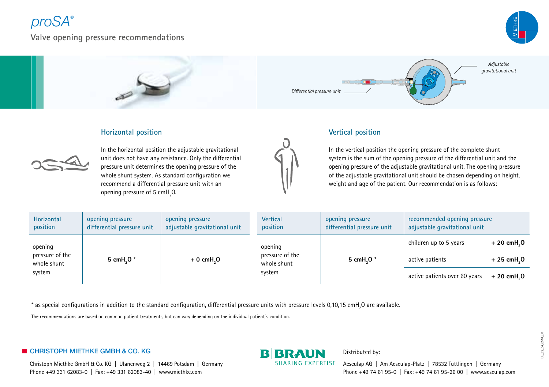# *proSA®*

**Valve opening pressure recommendations**





### **Horizontal position**



In the horizontal position the adjustable gravitational unit does not have any resistance. Only the differential pressure unit determines the opening pressure of the whole shunt system. As standard configuration we recommend a differential pressure unit with an opening pressure of 5  $cmH<sub>2</sub>$ O.

### **Vertical position**



In the vertical position the opening pressure of the complete shunt system is the sum of the opening pressure of the differential unit and the opening pressure of the adjustable gravitational unit. The opening pressure of the adjustable gravitational unit should be chosen depending on height, weight and age of the patient. Our recommendation is as follows:

| Horizontal<br>position                              | opening pressure<br>differential pressure unit | opening pressure<br>adjustable gravitational unit | <b>Vertical</b><br>position                         | opening pressure<br>differential pressure unit | recommended opening pressure<br>adjustable gravitational unit |                                       |
|-----------------------------------------------------|------------------------------------------------|---------------------------------------------------|-----------------------------------------------------|------------------------------------------------|---------------------------------------------------------------|---------------------------------------|
| opening<br>pressure of the<br>whole shunt<br>system | 5 cmH <sub>.</sub> 0 <sup>*</sup>              | $+0$ cmH <sub>2</sub> O                           | opening<br>pressure of the<br>whole shunt<br>system | 5 cmH <sub>.</sub> O*                          | children up to 5 years                                        | $+20$ cmH <sub>2</sub> O              |
|                                                     |                                                |                                                   |                                                     |                                                | active patients                                               | $+25$ cmH <sub><math>2</math></sub> O |
|                                                     |                                                |                                                   |                                                     |                                                | active patients over 60 years                                 | $+20$ cmH <sub>2</sub> O              |

 $^*$  as special configurations in addition to the standard configuration, differential pressure units with pressure levels 0,10,15 cmH<sub>2</sub>O are available.

The recommendations are based on common patient treatments, but can vary depending on the individual patient´s condition.

## **EXAMPLE GENETHKE GMBH & CO. KG REAL BIG RAUN** Distributed by:

Christoph Miethke GmbH & Co. KG | Ulanenweg 2 | 14469 Potsdam | Germany Phone +49 331 62083-0 | Fax: +49 331 62083-40 | www.miethke.com

SHARING EXPERTISE Aesculap AG | Am Aesculap-Platz | 78532 Tuttlingen | Germany Phone +49 74 61 95-0 | Fax: +49 74 61 95-26 00 | www.aesculap.com